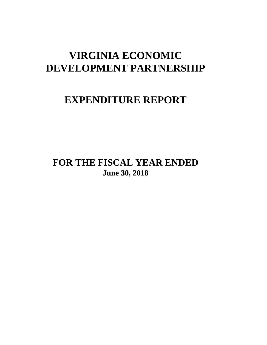# **VIRGINIA ECONOMIC DEVELOPMENT PARTNERSHIP**

# **EXPENDITURE REPORT**

# **FOR THE FISCAL YEAR ENDED June 30, 2018**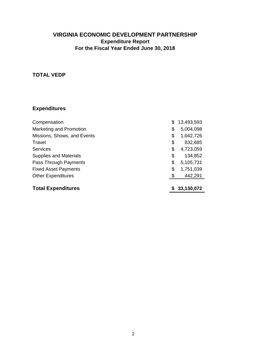# **TOTAL VEDP**

| Compensation                  | S  | 13,493,593 |
|-------------------------------|----|------------|
| Marketing and Promotion       | \$ | 5,004,098  |
| Missions, Shows, and Events   | \$ | 1,642,726  |
| Travel                        | \$ | 832,685    |
| <b>Services</b>               | \$ | 4,723,059  |
| <b>Supplies and Materials</b> | \$ | 134,852    |
| Pass Through Payments         | \$ | 5,105,731  |
| <b>Fixed Asset Payments</b>   | \$ | 1,751,039  |
| <b>Other Expenditures</b>     | \$ | 442,291    |
|                               |    |            |
| <b>Total Expenditures</b>     |    | 33,130,072 |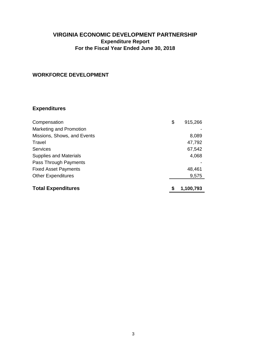# **WORKFORCE DEVELOPMENT**

| Compensation                  | \$<br>915,266 |
|-------------------------------|---------------|
| Marketing and Promotion       |               |
| Missions, Shows, and Events   | 8,089         |
| Travel                        | 47,792        |
| Services                      | 67,542        |
| <b>Supplies and Materials</b> | 4,068         |
| Pass Through Payments         |               |
| <b>Fixed Asset Payments</b>   | 48,461        |
| <b>Other Expenditures</b>     | 9,575         |
|                               |               |
| <b>Total Expenditures</b>     | 1,100,793     |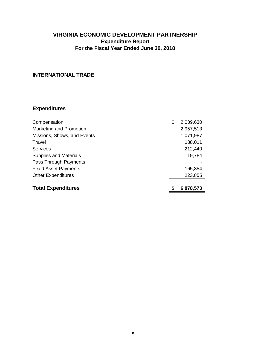# **INTERNATIONAL TRADE**

| Compensation                  | \$ | 2,039,630 |
|-------------------------------|----|-----------|
| Marketing and Promotion       |    | 2,957,513 |
| Missions, Shows, and Events   |    | 1,071,987 |
| Travel                        |    | 188,011   |
| <b>Services</b>               |    | 212,440   |
| <b>Supplies and Materials</b> |    | 19,784    |
| Pass Through Payments         |    |           |
| <b>Fixed Asset Payments</b>   |    | 165,354   |
| <b>Other Expenditures</b>     |    | 223,855   |
|                               |    |           |
| <b>Total Expenditures</b>     | S  | 6,878,573 |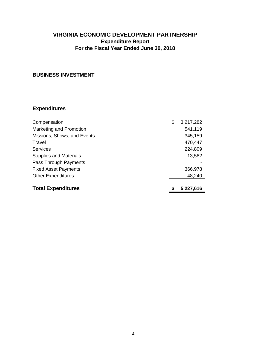# **BUSINESS INVESTMENT**

| Compensation                  | \$ | 3,217,282 |
|-------------------------------|----|-----------|
| Marketing and Promotion       |    | 541,119   |
| Missions, Shows, and Events   |    | 345,159   |
| Travel                        |    | 470,447   |
| Services                      |    | 224,809   |
| <b>Supplies and Materials</b> |    | 13,582    |
| Pass Through Payments         |    |           |
| <b>Fixed Asset Payments</b>   |    | 366,978   |
| <b>Other Expenditures</b>     |    | 48,240    |
|                               |    |           |
| <b>Total Expenditures</b>     | S  | 5,227,616 |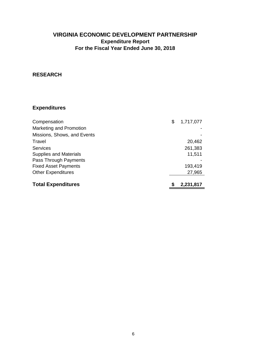#### **RESEARCH**

| Compensation                  | \$ | 1,717,077 |
|-------------------------------|----|-----------|
| Marketing and Promotion       |    |           |
| Missions, Shows, and Events   |    |           |
| Travel                        |    | 20,462    |
| <b>Services</b>               |    | 261,383   |
| <b>Supplies and Materials</b> |    | 11,511    |
| Pass Through Payments         |    |           |
| <b>Fixed Asset Payments</b>   |    | 193,419   |
| <b>Other Expenditures</b>     |    | 27,965    |
|                               |    |           |
| <b>Total Expenditures</b>     | S  | 2,231,817 |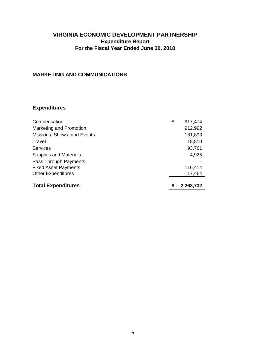### **MARKETING AND COMMUNICATIONS**

| Compensation                  | \$<br>917,474 |
|-------------------------------|---------------|
| Marketing and Promotion       | 912,992       |
| Missions, Shows, and Events   | 181,893       |
| Travel                        | 18,810        |
| <b>Services</b>               | 93,761        |
| <b>Supplies and Materials</b> | 4,925         |
| Pass Through Payments         |               |
| <b>Fixed Asset Payments</b>   | 116,414       |
| <b>Other Expenditures</b>     | 17,464        |
| <b>Total Expenditures</b>     | 2,263,732     |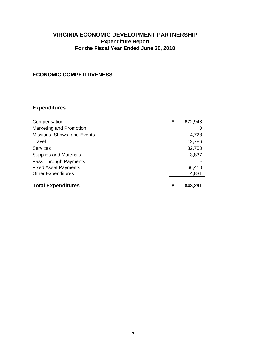### **ECONOMIC COMPETITIVENESS**

| Compensation                  | \$ | 672,948 |
|-------------------------------|----|---------|
| Marketing and Promotion       |    | O       |
| Missions, Shows, and Events   |    | 4,728   |
| Travel                        |    | 12,786  |
| <b>Services</b>               |    | 82,750  |
| <b>Supplies and Materials</b> |    | 3,837   |
| Pass Through Payments         |    |         |
| <b>Fixed Asset Payments</b>   |    | 66,410  |
| <b>Other Expenditures</b>     |    | 4,831   |
|                               |    |         |
| <b>Total Expenditures</b>     | S  | 848,291 |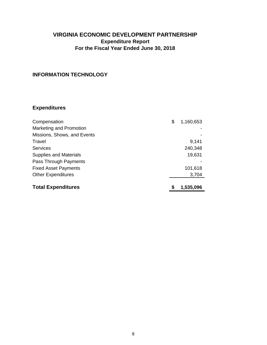# **INFORMATION TECHNOLOGY**

| Compensation                  | \$ | 1,160,653 |
|-------------------------------|----|-----------|
| Marketing and Promotion       |    |           |
| Missions, Shows, and Events   |    |           |
| Travel                        |    | 9,141     |
| <b>Services</b>               |    | 240,348   |
| <b>Supplies and Materials</b> |    | 19,631    |
| Pass Through Payments         |    |           |
| <b>Fixed Asset Payments</b>   |    | 101,618   |
| <b>Other Expenditures</b>     |    | 3,704     |
|                               |    |           |
| <b>Total Expenditures</b>     | S  | 1,535,096 |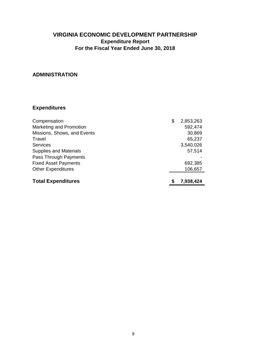#### **ADMINISTRATION**

| Compensation                  | \$<br>2,853,263 |
|-------------------------------|-----------------|
| Marketing and Promotion       | 592,474         |
| Missions, Shows, and Events   | 30,869          |
| Travel                        | 65,237          |
| <b>Services</b>               | 3,540,026       |
| <b>Supplies and Materials</b> | 57,514          |
| Pass Through Payments         |                 |
| <b>Fixed Asset Payments</b>   | 692,385         |
| <b>Other Expenditures</b>     | 106,657         |
|                               |                 |
| <b>Total Expenditures</b>     | 7,938,424       |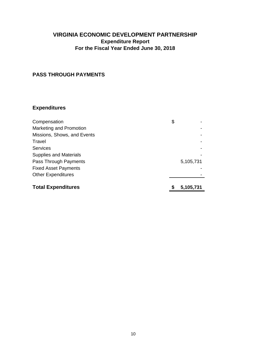### **PASS THROUGH PAYMENTS**

| Compensation                  | \$        |
|-------------------------------|-----------|
| Marketing and Promotion       |           |
| Missions, Shows, and Events   |           |
| Travel                        |           |
| Services                      |           |
| <b>Supplies and Materials</b> |           |
| Pass Through Payments         | 5,105,731 |
| <b>Fixed Asset Payments</b>   |           |
| <b>Other Expenditures</b>     |           |
|                               |           |
| <b>Total Expenditures</b>     | 5.105.731 |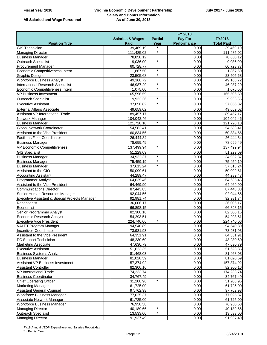#### **Virginia Economic Development Partnership Salary and Bonus Information As of June 30, 2018**

|  | All Salaried and Wage Personnel |
|--|---------------------------------|
|--|---------------------------------|

|                                                |                             |                | <b>FY 2018</b> |                   |
|------------------------------------------------|-----------------------------|----------------|----------------|-------------------|
|                                                | <b>Salaries &amp; Wages</b> | <b>Partial</b> | Pay For        | <b>FY2018</b>     |
| <b>Position Title</b>                          | Paid                        | Year           | Performance    | <b>Total Paid</b> |
| <b>GIS</b> Technician                          | 39,469.19                   | *              | 0.00           | 39,469.19         |
| <b>Managing Director</b>                       | 111,485.02                  | $\star$        | 0.00           | 111,485.02        |
| <b>Business Manager</b>                        | 78,850.12                   |                | 0.00           | 78,850.12         |
| Outreach Specialist                            | 9,036.00                    | $\star$        | 0.00           | 9,036.00          |
| <b>Procurement Manager</b>                     | 60,728.77                   |                | 0.00           | 60,728.77         |
| Economic Competitiveness Intern                | 1,867.50                    | $\star$        | 0.00           | 1,867.50          |
| <b>Graphic Designer</b>                        | 23,505.68                   | $\star$        | 0.00           | 23,505.68         |
| <b>Workforce Business Analyst</b>              | 49,166.72                   |                | 0.00           | 49,166.72         |
| <b>International Research Specialist</b>       | 46,987.29                   | $\star$        | 0.00           | 46,987.29         |
| Economic Competitiveness Intern                | 1,075.00                    | $\star$        | 0.00           | 1,075.00          |
| <b>VP Business Investment</b>                  | 165,596.59                  |                | 0.00           | 165,596.59        |
| <b>Outreach Specialist</b>                     | 9,933.36                    | $\star$        | 0.00           | 9,933.36          |
| <b>Executive Assistant</b>                     | 37,056.82                   | $\star$        | 0.00           | 37,056.82         |
| <b>External Affairs Associate</b>              | 49,659.02                   |                | 0.00           | 49,659.02         |
| Assistant VP International Trade               | 89,457.17                   |                | 0.00           | 89,457.17         |
| Network Manager                                | 104,042.46                  |                | 0.00           | 104,042.46        |
| <b>Business Manager</b>                        | 121,720.10                  | $\star$        | 0.00           | 121,720.10        |
| <b>Global Network Coordinator</b>              | 54,583.41                   |                | 0.00           | 54,583.41         |
| Assistant to the Vice President                | 60,834.56                   |                | 0.00           | 60,834.56         |
| <b>Facilities/Fleet Coordinator</b>            | 26,444.84                   |                | 0.00           | 26,444.84         |
| <b>Business Manager</b>                        | 78,699.49                   |                | 0.00           | 78,699.49         |
| <b>VP Economic Competitiveness</b>             | 137,499.94                  | $\star$        | 0.00           | 137,499.94        |
| <b>GIS Specialist</b>                          | 51,229.09                   |                | 0.00           | 51,229.09         |
| <b>Business Manager</b>                        | 34,932.37                   | $\star$        | 0.00           | 34,932.37         |
| <b>Business Manager</b>                        | 75,459.19                   | $\star$        | 0.00           | 75,459.19         |
| <b>Business Manager</b>                        | 37,613.24                   | $\star$        | 0.00           | 37,613.24         |
| Assistant to the CIO                           | 50,099.61                   |                | 0.00           | 50,099.61         |
| <b>Accounting Assistant</b>                    | 44,289.47                   |                | 0.00           | 44,289.47         |
| <b>Programmer Analyst</b>                      | 64,635.46                   |                | 0.00           | 64,635.46         |
| Assistant to the Vice President                | 64,469.90                   |                | 0.00           | 64,469.90         |
| <b>Communications Director</b>                 | 87,443.83                   |                | 0.00           | 87,443.83         |
| Senior Human Resources Manager                 | 92,044.56                   |                | 0.00           | 92,044.56         |
| Executive Assistant & Special Projects Manager | 92,981.74                   |                | 0.00           | 92,981.74         |
| Receptionist                                   | 36,006.17                   |                | 0.00           | 36,006.17         |
| Economist                                      | 66,898.15                   |                | 0.00           | 66,898.15         |
| Senior Programmer Analyst                      | 82,300.16                   |                | 0.00           | 82,300.16         |
| Economic Research Analyst                      | 54,293.51                   |                | 0.00           | 54,293.51         |
| <b>Executive Vice President</b>                | 224,740.06                  | $\star$        | 0.00           | 224,740.06        |
| VALET Program Manager                          | 94.540.89                   |                | 0.00           | 94,540.89         |
| <b>Incentives Coordinator</b>                  | 73,931.93                   |                | 0.00           | 73,931.93         |
| Assistant to the Vice President                | 64,351.91                   |                | 0.00           | 64,351.91         |
| PC Support Technician                          | 48,230.60                   |                | 0.00           | 48,230.60         |
| <b>Marketing Associate</b>                     | 47,630.79                   |                | 0.00           | 47,630.79         |
| <b>Executive Assistant</b>                     | 51,623.35                   |                | 0.00           | 51,623.35         |
| <b>Business Systems Analyst</b>                | 81,468.03                   |                | 0.00           | 81,468.03         |
| <b>Business Manager</b>                        | 81,020.59                   |                | 0.00           | 81,020.59         |
| Assistant VP Business Investment               | 157,374.92                  |                | 0.00           | 157,374.92        |
| <b>Assistant Controller</b>                    | 82,300.16                   |                | 0.00           | 82,300.16         |
| VP International Trade                         | 174,233.74                  |                | 0.00           | 174,233.74        |
| <b>Business Coordinator</b>                    | 34,767.49                   |                | 0.00           | 34,767.49         |
| <b>Chief Operating Officer</b>                 | 31,208.96                   | $\star$        | 0.00           | 31,208.96         |
| <b>Marketing Manager</b>                       | 61,725.00                   |                | 0.00           | 61,725.00         |
| <b>Assistant General Counsel</b>               | 97,762.98                   |                | 0.00           | 97,762.98         |
| Workforce Business Manager                     | 77,025.37                   |                | 0.00           | 77,025.37         |
| Associate Network Manager                      | 61,725.00                   |                | 0.00           | 61,725.00         |
| Workforce Business Manager                     | 76,950.58                   | $^\star$       | 0.00           | 76,950.58         |
| <b>Managing Director</b>                       | 40,189.66                   | $^\star$       | 0.00           | 40,189.66         |
| <b>Outreach Specialist</b>                     | 13,533.00                   |                | 0.00           | 13,533.00         |
| <b>Managing Director</b>                       | 91,937.49                   |                | 0.00           | 91,937.49         |

FY18 Annual VEDP Expenditure and Salaries Report.xlsx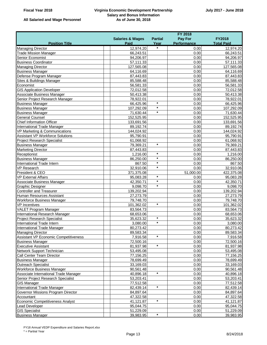#### **Virginia Economic Development Partnership Salary and Bonus Information As of June 30, 2018**

|  | All Salaried and Wage Personnel |
|--|---------------------------------|
|--|---------------------------------|

|                                         | <b>FY 2018</b>              |                |              |                   |
|-----------------------------------------|-----------------------------|----------------|--------------|-------------------|
|                                         | <b>Salaries &amp; Wages</b> | <b>Partial</b> | Pay For      | <b>FY2018</b>     |
| <b>Position Title</b>                   | Paid                        | Year           | Performance  | <b>Total Paid</b> |
| <b>Managing Director</b>                | 12,974.20                   | $\star$        | 0.00         | 12,974.20         |
| <b>Trade Mission Manager</b>            | 66,243.51                   |                | 0.00         | 66,243.51         |
| <b>Senior Economist</b>                 | 94,206.97                   |                | 0.00         | 94,206.97         |
| <b>Business Coordinator</b>             | 57,111.33                   |                | 0.00         | 57,111.33         |
| <b>Managing Director</b>                | 127,565.08                  |                | 0.00         | 127,565.08        |
| <b>Business Manager</b>                 | 64,116.69                   |                | 0.00         | 64,116.69         |
| Defense Program Manager                 | 87,443.83                   |                | 0.00         | 87,443.83         |
| Sites & Buildings Manager               | 85,588.48                   |                | 0.00         | 85,588.48         |
| Economist                               | 56,581.33                   |                | 0.00         | 56,581.33         |
| <b>GIS Application Developer</b>        | 72,012.58                   |                | 0.00         | 72,012.58         |
| Associate Business Manager              | 50,413.38                   |                | 0.00         | 50,413.38         |
| Senior Project Research Manager         | 78,922.01                   |                | 0.00         | 78,922.01         |
| <b>Business Manager</b>                 | 66,425.96                   | $\star$        | 0.00         | 66,425.96         |
| <b>Business Manager</b>                 | 107,292.09                  | $\star$        | 0.00         | 107,292.09        |
| <b>Business Manager</b>                 | 71,630.44                   | $\star$        | 0.00         | 71,630.44         |
| <b>General Counsel</b>                  | 152,525.95                  |                | 0.00         | 152,525.95        |
| <b>Chief Information Officer</b>        | 133,691.56                  |                | 0.00         | 133,691.56        |
| International Trade Manager             | 89,192.74                   |                | 0.00         | 89,192.74         |
| VP Marketing & Communications           | 144,024.92                  |                | 0.00         | 144,024.92        |
| <b>Assistant VP Workforce Solutions</b> | 95,790.91                   |                | 0.00         | 95,790.91         |
| <b>Project Research Specialist</b>      | 61,068.92                   |                | 0.00         | 61,068.92         |
| <b>Business Manager</b>                 | 79,369.21                   | $\star$        | 0.00         | 79,369.21         |
| <b>Marketing Director</b>               | 87,443.83                   |                | 0.00         | 87,443.83         |
| Receptionist                            | 1,216.00                    | $\star$        | 0.00         | 1,216.00          |
| <b>Business Manager</b>                 | 86,250.00                   | $\star$        | 0.00         | 86,250.00         |
| International Trade Intern              | 867.50                      | $\star$        | 0.00         | 867.50            |
| <b>VP Research</b>                      | 32,910.06                   | $\star$        | 0.00         | 32,910.06         |
| President & CEO                         | 371,375.08                  |                | 51,000.00    | 422,375.08        |
| <b>VP External Affairs</b>              | 95,083.28                   | $\star$        | 0.00         | 95,083.28         |
| Associate Business Manager              | 42,350.71                   | $\star$        | 0.00         | 42,350.71         |
| <b>Graphic Designer</b>                 | 9,098.70                    | $\star$        | 0.00         | 9,098.70          |
| <b>Controller and Treasurer</b>         | 139,202.94                  |                | 0.00         | 139,202.94        |
| Human Resources Assistant               | 27,273.79                   |                | 0.00         | 27,273.79         |
| Workforce Business Manager              | 79,748.70                   |                | 0.00         | 79,748.70         |
| <b>VP</b> Incentives                    | 101,362.02                  | $\star$        | 0.00         | 101,362.02        |
| VALET Program Manager                   | 83,564.73                   |                | 0.00         | 83,564.73         |
| International Research Manager          | 68,653.06                   |                | 0.00         | 68,653.06         |
| <b>Project Research Specialist</b>      | 35,623.32                   | $\star$        | 0.00         | 35,623.32         |
| International Trade Intern              | 3,080.00                    | $\star$        | 0.00         | 3,080.00          |
| International Trade Manager             | 80,273.42                   |                | 0.00         | 80,273.42         |
| <b>Managing Director</b>                | 89,583.34                   |                | 0.00         | 89,583.34         |
| Assistant VP Economic Competitiveness   | 7,916.58                    | $\star$        | 0.00         | 7,916.58          |
| <b>Business Manager</b>                 | 72,500.16                   |                | 0.00         | 72,500.16         |
| <b>Executive Assistant</b>              | 81,937.98                   | $\star$        | 0.00         | 81,937.98         |
| Network Support Technician              | 53,495.08                   |                | 0.00         | 53,495.08         |
| Call Center Team Director               | 77,156.25                   |                | 0.00         | 77,156.25         |
| <b>Business Manager</b>                 | 78,699.49                   |                | 0.00         | 78,699.49         |
| Outreach Specialist                     | 33,169.03                   |                | 0.00         | 33,169.03         |
| <b>Workforce Business Manager</b>       | 90,561.48                   |                | 0.00         | 90,561.48         |
| Associate International Trade Manager   | 40,896.18                   | $\star$        | 0.00         | 40,896.18         |
| Senior Project Research Specialist      | 53,203.41                   |                | 0.00         | 53,203.41         |
| <b>GIS Manager</b>                      | 77,512.58                   |                | 0.00         | 77,512.58         |
| International Trade Manager             | 82,439.14                   | $\star$        | 0.00         | 82,439.14         |
| Governor Missions Program Director      | 84,897.64                   |                | 0.00         | 84,897.64         |
| Accountant                              | 47,322.58                   |                | 0.00         | 47,322.58         |
| Economic Competitiveness Analyst        |                             | $\star$        | 0.00         |                   |
|                                         | 41,121.87                   |                |              | 41,121.87         |
| Lead Developer                          | 95,044.75                   |                | 0.00<br>0.00 | 95,044.75         |
| <b>GIS Specialist</b>                   | 51,229.09                   | $\star$        |              | 51,229.09         |
| <b>Business Manager</b>                 | 39,983.95                   |                | 0.00         | 39,983.95         |

FY18 Annual VEDP Expenditure and Salaries Report.xlsx